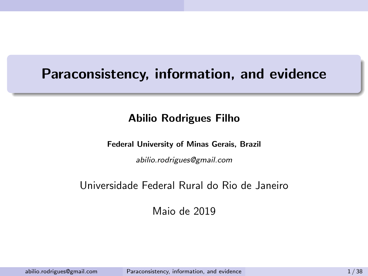#### <span id="page-0-0"></span>Paraconsistency, information, and evidence

#### Abilio Rodrigues Filho

#### Federal University of Minas Gerais, Brazil

abilio.rodrigues@gmail.com

#### Universidade Federal Rural do Rio de Janeiro

Maio de 2019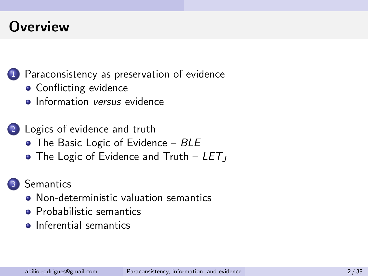#### **Overview**

1 [Paraconsistency as preservation of evidence](#page-2-0)

- **[Conflicting evidence](#page-8-0)**
- **o** [Information](#page-11-0) versus evidence
- 2 [Logics of evidence and truth](#page-25-0)
	- $\bullet$  [The Basic Logic of Evidence –](#page-25-0) BLE
	- [The Logic of Evidence and Truth –](#page-26-0)  $LET_J$

#### **[Semantics](#page-32-0)**

- [Non-deterministic valuation semantics](#page-36-0)
- **•** [Probabilistic semantics](#page-41-0)
- **•** [Inferential semantics](#page-67-0)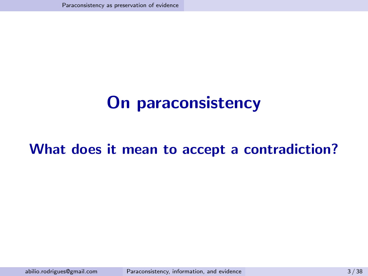## <span id="page-2-0"></span>On paraconsistency

#### What does it mean to accept a contradiction?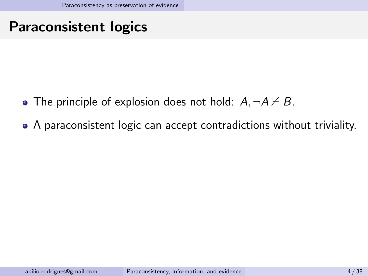### Paraconsistent logics

- The principle of explosion does not hold:  $A, \neg A \nvdash B$ .
- A paraconsistent logic can accept contradictions without triviality.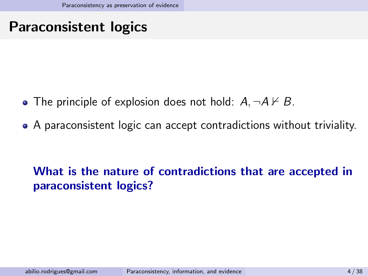### Paraconsistent logics

- The principle of explosion does not hold:  $A, \neg A \nvdash B$ .
- A paraconsistent logic can accept contradictions without triviality.

#### What is the nature of contradictions that are accepted in paraconsistent logics?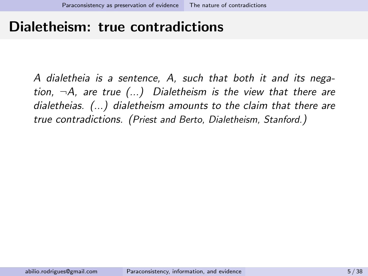#### <span id="page-5-0"></span>Dialetheism: true contradictions

A dialetheia is a sentence, A, such that both it and its negation,  $\neg A$ , are true  $(...)$  Dialetheism is the view that there are dialetheias. (...) dialetheism amounts to the claim that there are true contradictions. (Priest and Berto, Dialetheism, Stanford.)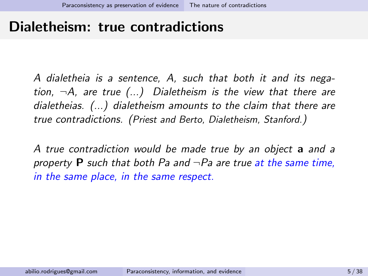#### Dialetheism: true contradictions

A dialetheia is a sentence, A, such that both it and its negation,  $\neg A$ , are true  $(...)$  Dialetheism is the view that there are dialetheias. (...) dialetheism amounts to the claim that there are true contradictions. (Priest and Berto, Dialetheism, Stanford.)

A true contradiction would be made true by an object a and a property **P** such that both Pa and  $\neg$  Pa are true at the same time, in the same place, in the same respect.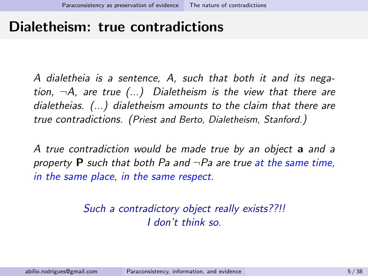#### Dialetheism: true contradictions

A dialetheia is a sentence, A, such that both it and its negation,  $\neg A$ , are true  $(...)$  Dialetheism is the view that there are dialetheias. (...) dialetheism amounts to the claim that there are true contradictions. (Priest and Berto, Dialetheism, Stanford.)

A true contradiction would be made true by an object a and a property **P** such that both Pa and  $\neg$  Pa are true at the same time, in the same place, in the same respect.

#### Such a contradictory object really exists??!! I don't think so.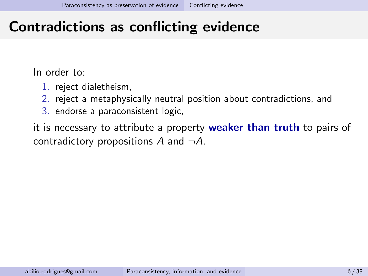### <span id="page-8-0"></span>Contradictions as conflicting evidence

In order to:

- 1. reject dialetheism,
- 2. reject a metaphysically neutral position about contradictions, and
- 3. endorse a paraconsistent logic,

it is necessary to attribute a property weaker than truth to pairs of contradictory propositions A and  $\neg A$ .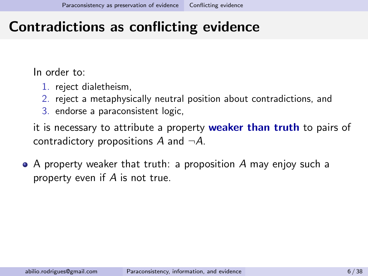### Contradictions as conflicting evidence

In order to:

- 1. reject dialetheism,
- 2. reject a metaphysically neutral position about contradictions, and
- 3. endorse a paraconsistent logic,

it is necessary to attribute a property weaker than truth to pairs of contradictory propositions A and  $\neg A$ .

A property weaker that truth: a proposition A may enjoy such a property even if A is not true.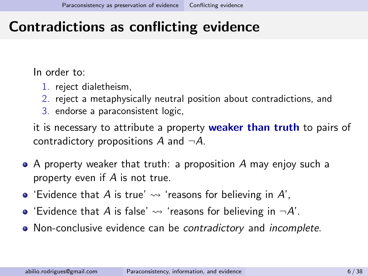### Contradictions as conflicting evidence

In order to:

- 1. reject dialetheism,
- 2. reject a metaphysically neutral position about contradictions, and
- 3. endorse a paraconsistent logic,

it is necessary to attribute a property weaker than truth to pairs of contradictory propositions A and  $\neg A$ .

- A property weaker that truth: a proposition A may enjoy such a property even if A is not true.
- $\bullet$  'Evidence that A is true'  $\rightsquigarrow$  'reasons for believing in A',
- 'Evidence that A is false'  $\rightsquigarrow$  'reasons for believing in  $\neg A'$ .
- Non-conclusive evidence can be contradictory and incomplete.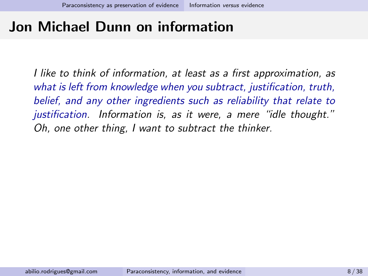### Jon Michael Dunn on information

I like to think of information, at least as a first approximation, as what is left from knowledge when you subtract, justification, truth, belief, and any other ingredients such as reliability that relate to justification. Information is, as it were, a mere "idle thought." Oh, one other thing, I want to subtract the thinker.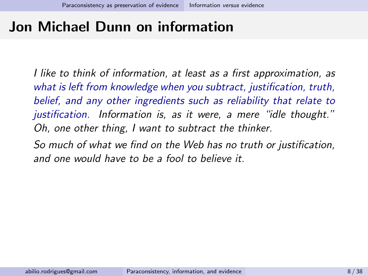#### Jon Michael Dunn on information

I like to think of information, at least as a first approximation, as what is left from knowledge when you subtract, justification, truth, belief, and any other ingredients such as reliability that relate to justification. Information is, as it were, a mere "idle thought." Oh, one other thing, I want to subtract the thinker.

So much of what we find on the Web has no truth or justification, and one would have to be a fool to believe it.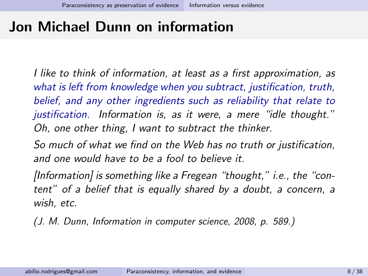#### Jon Michael Dunn on information

I like to think of information, at least as a first approximation, as what is left from knowledge when you subtract, justification, truth, belief, and any other ingredients such as reliability that relate to justification. Information is, as it were, a mere "idle thought." Oh, one other thing, I want to subtract the thinker.

So much of what we find on the Web has no truth or justification, and one would have to be a fool to believe it.

[Information] is something like a Fregean "thought," i.e., the "content" of a belief that is equally shared by a doubt, a concern, a wish, etc.

(J. M. Dunn, Information in computer science, 2008, p. 589.)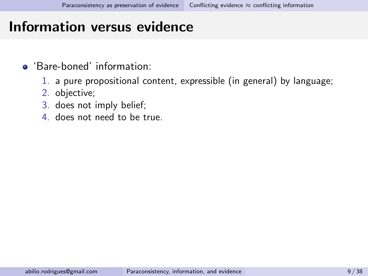- <span id="page-15-0"></span>'Bare-boned' information:
	- 1. a pure propositional content, expressible (in general) by language;
	- 2. objective;
	- 3. does not imply belief;
	- 4. does not need to be true.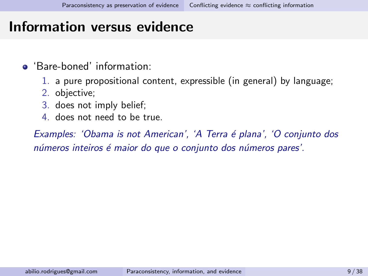- 'Bare-boned' information:
	- 1. a pure propositional content, expressible (in general) by language;
	- 2. objective;
	- 3. does not imply belief;
	- 4. does not need to be true.

Examples: 'Obama is not American', 'A Terra é plana', 'O conjunto dos números inteiros é maior do que o conjunto dos números pares'.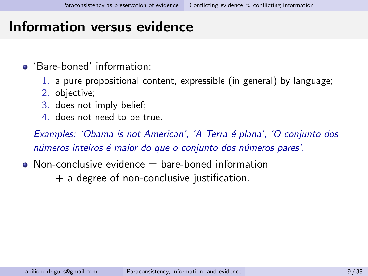- 'Bare-boned' information:
	- 1. a pure propositional content, expressible (in general) by language;
	- 2. objective;
	- 3. does not imply belief;
	- 4. does not need to be true.

Examples: 'Obama is not American', 'A Terra é plana', 'O conjunto dos números inteiros é maior do que o conjunto dos números pares'.

 $\bullet$  Non-conclusive evidence  $=$  bare-boned information

 $+$  a degree of non-conclusive justification.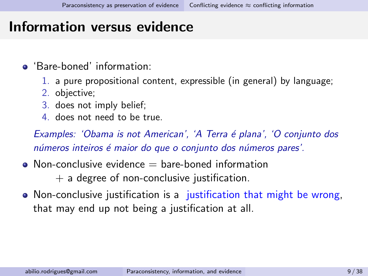- 'Bare-boned' information:
	- 1. a pure propositional content, expressible (in general) by language;
	- 2. objective;
	- 3. does not imply belief;
	- 4. does not need to be true.

Examples: 'Obama is not American', 'A Terra é plana', 'O conjunto dos números inteiros é maior do que o conjunto dos números pares'.

 $\bullet$  Non-conclusive evidence  $=$  bare-boned information

 $+$  a degree of non-conclusive justification.

• Non-conclusive justification is a justification that might be wrong, that may end up not being a justification at all.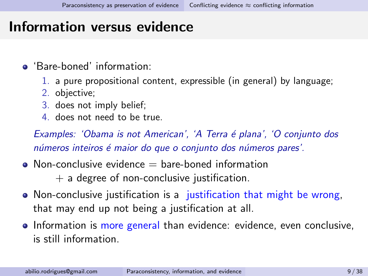- 'Bare-boned' information:
	- 1. a pure propositional content, expressible (in general) by language;
	- 2. objective;
	- 3. does not imply belief;
	- 4. does not need to be true.

Examples: 'Obama is not American', 'A Terra é plana', 'O conjunto dos números inteiros é maior do que o conjunto dos números pares'.

 $\bullet$  Non-conclusive evidence  $=$  bare-boned information

 $+$  a degree of non-conclusive justification.

- Non-conclusive justification is a justification that might be wrong, that may end up not being a justification at all.
- Information is more general than evidence: evidence, even conclusive, is still information.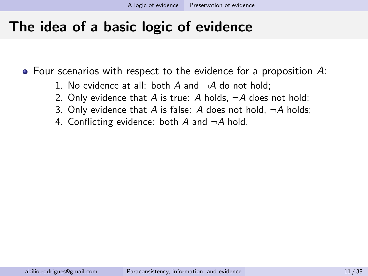- 1. No evidence at all: both  $A$  and  $\neg A$  do not hold;
- 2. Only evidence that A is true: A holds,  $\neg A$  does not hold;
- 3. Only evidence that A is false: A does not hold,  $\neg A$  holds;
- 4. Conflicting evidence: both A and  $\neg A$  hold.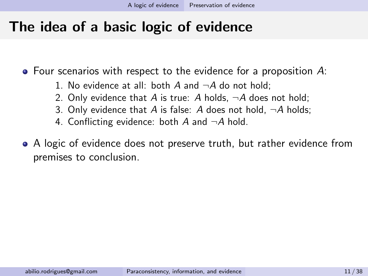- 1. No evidence at all: both A and  $\neg A$  do not hold;
- 2. Only evidence that A is true: A holds,  $\neg A$  does not hold;
- 3. Only evidence that A is false: A does not hold,  $\neg A$  holds;
- 4. Conflicting evidence: both A and  $\neg A$  hold.
- A logic of evidence does not preserve truth, but rather evidence from premises to conclusion.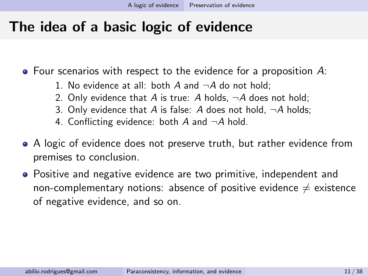- 1. No evidence at all: both A and  $\neg A$  do not hold;
- 2. Only evidence that A is true: A holds,  $\neg A$  does not hold;
- 3. Only evidence that A is false: A does not hold,  $\neg A$  holds;
- 4. Conflicting evidence: both A and  $\neg A$  hold.
- A logic of evidence does not preserve truth, but rather evidence from premises to conclusion.
- Positive and negative evidence are two primitive, independent and non-complementary notions: absence of positive evidence  $\neq$  existence of negative evidence, and so on.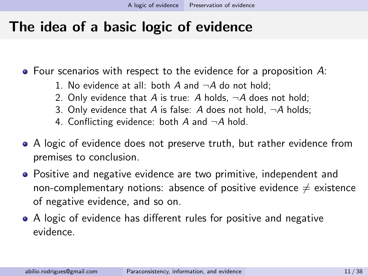- 1. No evidence at all: both A and  $\neg A$  do not hold;
- 2. Only evidence that A is true: A holds,  $\neg A$  does not hold;
- 3. Only evidence that A is false: A does not hold,  $\neg A$  holds;
- 4. Conflicting evidence: both A and  $\neg A$  hold.
- A logic of evidence does not preserve truth, but rather evidence from premises to conclusion.
- Positive and negative evidence are two primitive, independent and non-complementary notions: absence of positive evidence  $\neq$  existence of negative evidence, and so on.
- A logic of evidence has different rules for positive and negative evidence.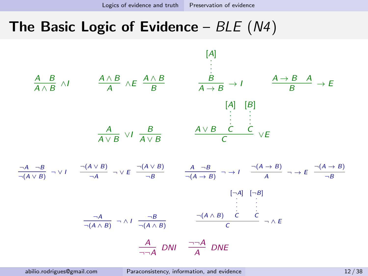#### <span id="page-25-0"></span>The Basic Logic of Evidence –  $BLE (N4)$

$$
\frac{A}{A \wedge B} \wedge I \qquad \frac{A \wedge B}{A} \wedge E \frac{A \wedge B}{B} \qquad \frac{B}{A \rightarrow B} \rightarrow I \qquad \frac{A \rightarrow B}{B} \rightarrow E
$$
\n
$$
\begin{bmatrix} A \\ A \end{bmatrix} \qquad \begin{bmatrix} B \\ \vdots \end{bmatrix}
$$
\n
$$
\frac{A}{A \vee B} \vee I \frac{B}{A \vee B} \qquad \frac{A \vee B}{C} \vee E
$$
\n
$$
\frac{A}{\neg(A \vee B)} \rightarrow \vee I \qquad \frac{\neg(A \vee B)}{\neg A} \rightarrow \vee E \xrightarrow{\neg(A \vee B)} \qquad \frac{A}{\neg(B)} \qquad \frac{A \rightarrow B}{\neg(A \rightarrow B)} \rightarrow \vee I \xrightarrow{\neg(A \rightarrow B)} \qquad \frac{\neg(A \rightarrow B)}{A} \rightarrow E \xrightarrow{\neg(B)} \qquad \frac{\neg(A \wedge B)}{\neg B}
$$
\n
$$
\begin{bmatrix} \neg A \\ \vdots \\ \vdots \end{bmatrix} \qquad \begin{bmatrix} \neg A \\ \vdots \\ \vdots \end{bmatrix} \qquad \begin{bmatrix} \neg A \\ \vdots \\ \vdots \end{bmatrix} \qquad \begin{bmatrix} \neg A \\ \vdots \\ \vdots \end{bmatrix}
$$
\n
$$
\frac{\neg A}{\neg A} \wedge I \xrightarrow{\neg B} \qquad \frac{\neg (A \wedge B) \wedge C}{\neg (A \wedge B)} \qquad \frac{\neg (A \wedge B) \wedge C}{C} \qquad \neg A \in E
$$
\n
$$
\frac{A}{\neg A} \wedge DNI \qquad \frac{\neg A}{A} \wedge DNE
$$

abilio.rodrigues@gmail.com [Paraconsistency, information, and evidence](#page-0-0) 12 / 38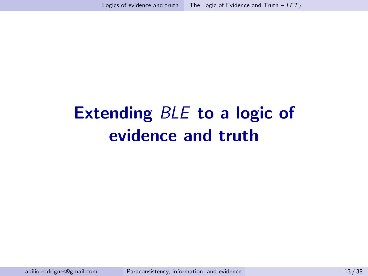# <span id="page-26-0"></span>Extending BLE to a logic of evidence and truth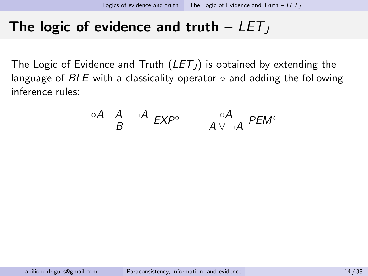#### The logic of evidence and truth  $-LET$

The Logic of Evidence and Truth  $(LET_J)$  is obtained by extending the language of  $BLE$  with a classicality operator  $\circ$  and adding the following inference rules:

$$
\frac{\circ A \quad A \quad \neg A}{B} \quad EXP^{\circ} \qquad \frac{\circ A}{A \lor \neg A} \quad PEM^{\circ}
$$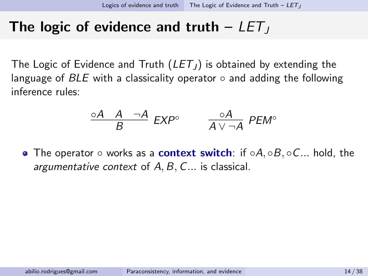#### The logic of evidence and truth  $-LET$

The Logic of Evidence and Truth  $(LET_J)$  is obtained by extending the language of  $BLE$  with a classicality operator  $\circ$  and adding the following inference rules:

$$
\frac{\circ A \quad A \quad \neg A}{B} \quad EXP^{\circ} \qquad \frac{\circ A}{A \lor \neg A} \quad PEM^{\circ}
$$

• The operator  $\circ$  works as a **context switch**: if  $\circ A$ ,  $\circ B$ ,  $\circ C$ ... hold, the argumentative context of  $A, B, C, \ldots$  is classical.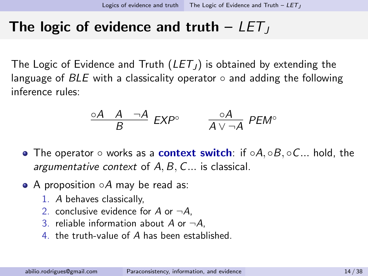#### The logic of evidence and truth  $-LET$

The Logic of Evidence and Truth  $(LET_J)$  is obtained by extending the language of  $BLE$  with a classicality operator  $\circ$  and adding the following inference rules:

$$
\frac{\circ A \quad A \quad \neg A}{B} \quad EXP^{\circ} \qquad \frac{\circ A}{A \lor \neg A} \quad PEM^{\circ}
$$

- The operator  $\circ$  works as a **context switch**: if  $\circ A$ ,  $\circ B$ ,  $\circ C$ ... hold, the argumentative context of  $A, B, C, \ldots$  is classical.
- A proposition  $\circ A$  may be read as:
	- 1. A behaves classically,
	- 2. conclusive evidence for A or  $\neg A$ .
	- 3. reliable information about A or  $\neg A$ .
	- 4. the truth-value of A has been established.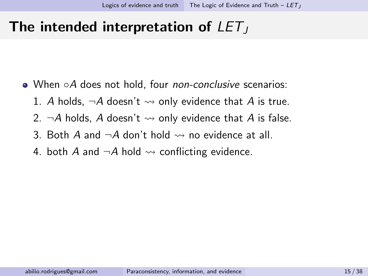#### The intended interpretation of  $LET_J$

- When ○A does not hold, four *non-conclusive* scenarios:
	- 1. A holds,  $\neg A$  doesn't  $\rightsquigarrow$  only evidence that A is true.
	- 2.  $\neg A$  holds, A doesn't  $\rightsquigarrow$  only evidence that A is false.
	- 3. Both A and  $\neg A$  don't hold  $\rightsquigarrow$  no evidence at all.
	- 4. both A and  $\neg A$  hold  $\rightsquigarrow$  conflicting evidence.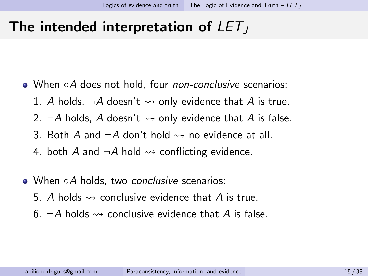#### The intended interpretation of  $LET_J$

- When ○A does not hold, four *non-conclusive* scenarios:
	- 1. A holds,  $\neg A$  doesn't  $\rightsquigarrow$  only evidence that A is true.
	- 2.  $\neg A$  holds. A doesn't  $\leadsto$  only evidence that A is false.
	- 3. Both A and  $\neg A$  don't hold  $\rightsquigarrow$  no evidence at all.
	- 4. both A and  $\neg A$  hold  $\rightsquigarrow$  conflicting evidence.
- When ○A holds, two conclusive scenarios:
	- 5. A holds  $\rightsquigarrow$  conclusive evidence that A is true.
	- 6.  $\neg A$  holds  $\rightsquigarrow$  conclusive evidence that A is false.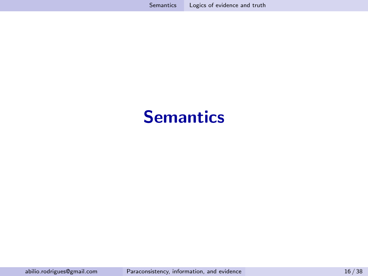## <span id="page-32-0"></span>**Semantics**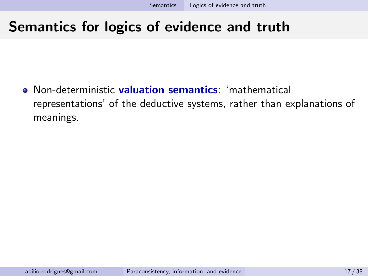#### Semantics for logics of evidence and truth

**•** Non-deterministic **valuation semantics**: 'mathematical representations' of the deductive systems, rather than explanations of meanings.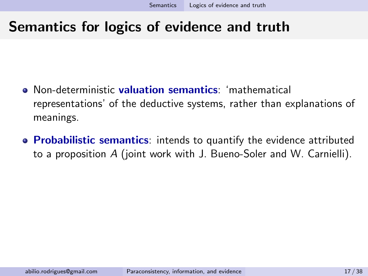#### Semantics for logics of evidence and truth

- **•** Non-deterministic **valuation semantics**: 'mathematical representations' of the deductive systems, rather than explanations of meanings.
- Probabilistic semantics: intends to quantify the evidence attributed to a proposition A (joint work with J. Bueno-Soler and W. Carnielli).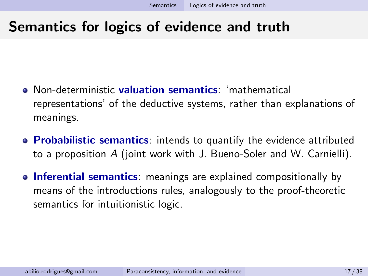#### Semantics for logics of evidence and truth

- **Non-deterministic valuation semantics:** 'mathematical representations' of the deductive systems, rather than explanations of meanings.
- Probabilistic semantics: intends to quantify the evidence attributed to a proposition A (joint work with J. Bueno-Soler and W. Carnielli).
- Inferential semantics: meanings are explained compositionally by means of the introductions rules, analogously to the proof-theoretic semantics for intuitionistic logic.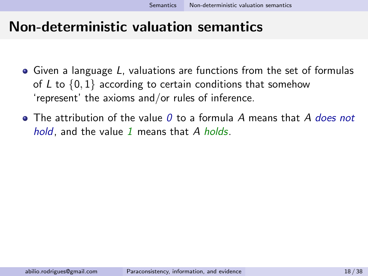#### <span id="page-36-0"></span>Non-deterministic valuation semantics

- Given a language L, valuations are functions from the set of formulas of L to  $\{0, 1\}$  according to certain conditions that somehow 'represent' the axioms and/or rules of inference.
- $\bullet$  The attribution of the value 0 to a formula A means that A does not hold, and the value 1 means that  $A$  holds.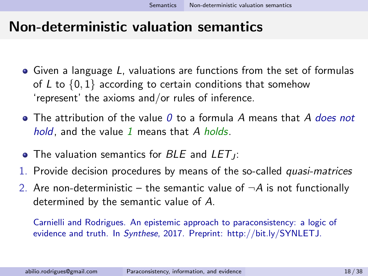#### Non-deterministic valuation semantics

- Given a language L, valuations are functions from the set of formulas of  $L$  to  $\{0, 1\}$  according to certain conditions that somehow 'represent' the axioms and/or rules of inference.
- $\bullet$  The attribution of the value 0 to a formula A means that A does not hold, and the value 1 means that  $A$  holds.
- The valuation semantics for  $BLE$  and  $LET_J$ :
- 1. Provide decision procedures by means of the so-called quasi-matrices
- 2. Are non-deterministic the semantic value of  $\neg A$  is not functionally determined by the semantic value of A.

Carnielli and Rodrigues. An epistemic approach to paraconsistency: a logic of evidence and truth. In Synthese, 2017. Preprint: http://bit.ly/SYNLETJ.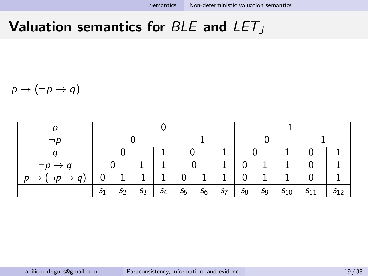#### Valuation semantics for BLE and  $LET_J$

 $p \rightarrow (\neg p \rightarrow q)$ 

| $\neg p$                      |       |                |       |       |       |       |       |       |                |          |          |          |
|-------------------------------|-------|----------------|-------|-------|-------|-------|-------|-------|----------------|----------|----------|----------|
|                               |       |                |       |       |       |       |       |       |                |          |          |          |
| $\neg p \rightarrow q$        |       |                |       |       |       |       |       |       |                |          |          |          |
| $(\neg p \rightarrow q)$<br>p | 0     |                |       |       |       |       |       |       |                |          |          |          |
|                               | $S_1$ | S <sub>2</sub> | $S_3$ | $S_4$ | $S_5$ | $S_6$ | $S_7$ | $S_8$ | S <sub>9</sub> | $S_{10}$ | $S_{11}$ | $S_{12}$ |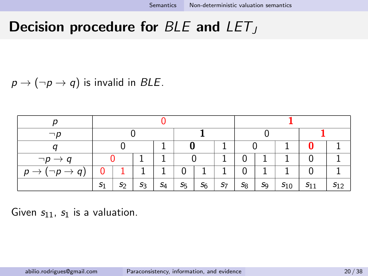### Decision procedure for  $BLE$  and  $LET_J$

 $p \rightarrow (\neg p \rightarrow q)$  is invalid in BLE.

| $\neg p$                                       |                |                |       |       |               |       |       |       |       |          |          |          |
|------------------------------------------------|----------------|----------------|-------|-------|---------------|-------|-------|-------|-------|----------|----------|----------|
|                                                |                |                |       |       |               |       |       |       |       |          |          |          |
| $\neg p \rightarrow q$                         |                |                |       |       |               |       |       |       |       |          |          |          |
| $(\neg p \rightarrow q)$<br>p<br>$\rightarrow$ |                |                |       |       |               |       |       |       |       |          |          |          |
|                                                | S <sub>1</sub> | S <sub>2</sub> | $S_3$ | $S_4$ | $S_{\bar{5}}$ | $S_6$ | $S_7$ | $S_8$ | $S_9$ | $s_{10}$ | $S_{11}$ | $S_{12}$ |

Given  $s_{11}$ ,  $s_1$  is a valuation.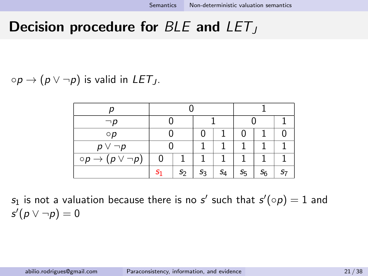#### Decision procedure for  $BLE$  and  $LET_J$

 $\circ p \rightarrow (p \vee \neg p)$  is valid in LET<sub>J</sub>.

| $\neg p$                              |   |                |    |       |    |  |  |
|---------------------------------------|---|----------------|----|-------|----|--|--|
| $\circ p$                             |   |                | 0  |       | 0  |  |  |
| $p \vee \neg p$                       |   |                |    |       |    |  |  |
| $\circ p \rightarrow (p \vee \neg p)$ | 0 |                |    |       |    |  |  |
|                                       |   | S <sub>2</sub> | S3 | $S_4$ | S5 |  |  |

 $s_1$  is not a valuation because there is no  $s'$  such that  $s'(\circ\rho)=1$  and  $s'(p \vee \neg p) = 0$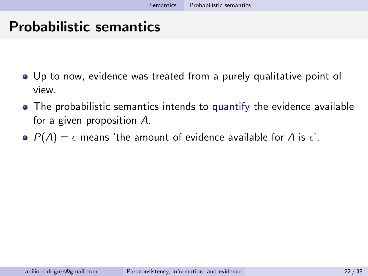## <span id="page-41-0"></span>Probabilistic semantics

- Up to now, evidence was treated from a purely qualitative point of view.
- The probabilistic semantics intends to quantify the evidence available for a given proposition A.
- $P(A) = \epsilon$  means 'the amount of evidence available for A is  $\epsilon'$ .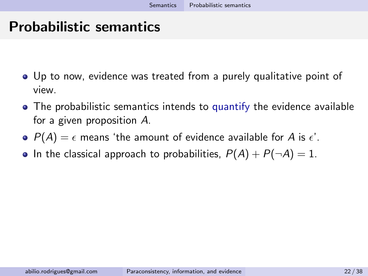### Probabilistic semantics

- Up to now, evidence was treated from a purely qualitative point of view.
- The probabilistic semantics intends to quantify the evidence available for a given proposition A.
- $P(A) = \epsilon$  means 'the amount of evidence available for A is  $\epsilon'$ .
- In the classical approach to probabilities,  $P(A) + P(\neg A) = 1$ .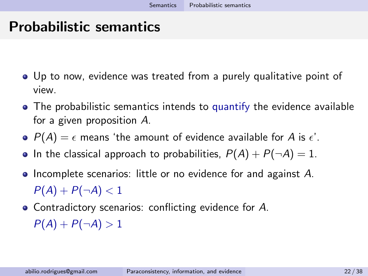## Probabilistic semantics

- Up to now, evidence was treated from a purely qualitative point of view.
- The probabilistic semantics intends to quantify the evidence available for a given proposition A.
- $P(A) = \epsilon$  means 'the amount of evidence available for A is  $\epsilon'$ .
- In the classical approach to probabilities,  $P(A) + P(\neg A) = 1$ .
- Incomplete scenarios: little or no evidence for and against A.  $P(A) + P(\neg A) < 1$
- Contradictory scenarios: conflicting evidence for A.  $P(A) + P(\neg A) > 1$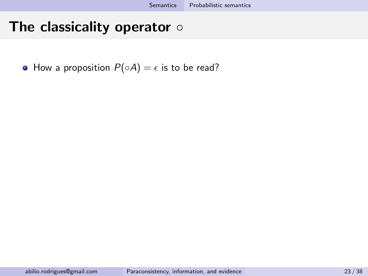• How a proposition  $P(\circ A) = \epsilon$  is to be read?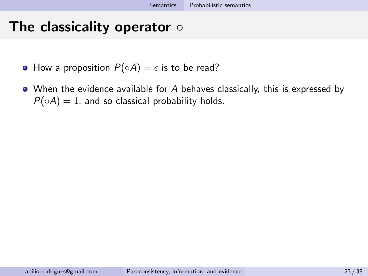- How a proposition  $P(\circ A) = \epsilon$  is to be read?
- When the evidence available for A behaves classically, this is expressed by  $P(\circ A) = 1$ , and so classical probability holds.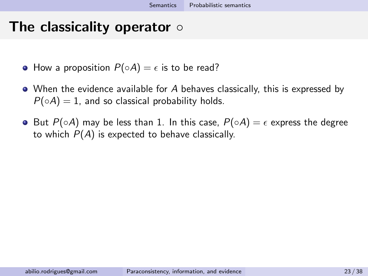- How a proposition  $P(\circ A) = \epsilon$  is to be read?
- When the evidence available for A behaves classically, this is expressed by  $P(\circ A) = 1$ , and so classical probability holds.
- $\bullet$  But  $P(\circ A)$  may be less than 1. In this case,  $P(\circ A) = \epsilon$  express the degree to which  $P(A)$  is expected to behave classically.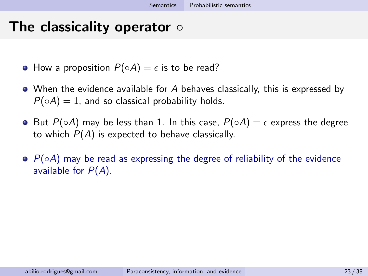- How a proposition  $P(\circ A) = \epsilon$  is to be read?
- When the evidence available for A behaves classically, this is expressed by  $P(\circ A) = 1$ , and so classical probability holds.
- But  $P(\circ A)$  may be less than 1. In this case,  $P(\circ A) = \epsilon$  express the degree to which  $P(A)$  is expected to behave classically.
- $\bullet$   $P(\circ A)$  may be read as expressing the degree of reliability of the evidence available for  $P(A)$ .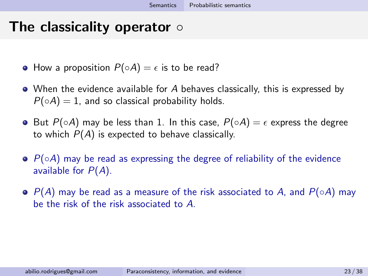- How a proposition  $P(\circ A) = \epsilon$  is to be read?
- When the evidence available for A behaves classically, this is expressed by  $P(\circ A) = 1$ , and so classical probability holds.
- $\bullet$  But  $P(\circ A)$  may be less than 1. In this case,  $P(\circ A) = \epsilon$  express the degree to which  $P(A)$  is expected to behave classically.
- $\bullet$   $P(\circ A)$  may be read as expressing the degree of reliability of the evidence available for  $P(A)$ .
- $\bullet$  P(A) may be read as a measure of the risk associated to A, and P(◦A) may be the risk of the risk associated to A.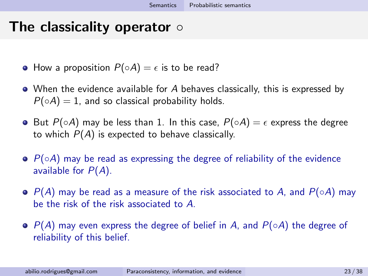- How a proposition  $P(\circ A) = \epsilon$  is to be read?
- When the evidence available for A behaves classically, this is expressed by  $P(\circ A) = 1$ , and so classical probability holds.
- But  $P(\circ A)$  may be less than 1. In this case,  $P(\circ A) = \epsilon$  express the degree to which  $P(A)$  is expected to behave classically.
- $\bullet$   $P(\circ A)$  may be read as expressing the degree of reliability of the evidence available for  $P(A)$ .
- $\bullet$  P(A) may be read as a measure of the risk associated to A, and P(◦A) may be the risk of the risk associated to A.
- $\bullet$  P(A) may even express the degree of belief in A, and P( $\circ$ A) the degree of reliability of this belief.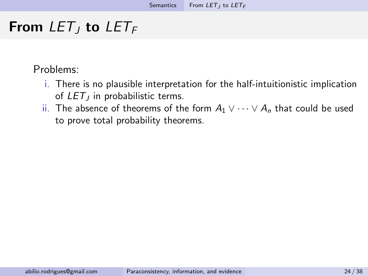## <span id="page-50-0"></span>From  $LET_I$  to  $LET_F$

Problems:

- i. There is no plausible interpretation for the half-intuitionistic implication of  $LET_J$  in probabilistic terms.
- ii. The absence of theorems of the form  $A_1 \vee \cdots \vee A_n$  that could be used to prove total probability theorems.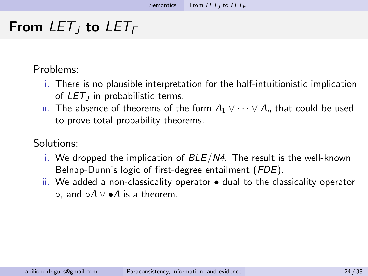## From  $LET_I$  to  $LET_F$

Problems:

- i. There is no plausible interpretation for the half-intuitionistic implication of  $LET_J$  in probabilistic terms.
- ii. The absence of theorems of the form  $A_1 \vee \cdots \vee A_n$  that could be used to prove total probability theorems.

#### Solutions:

- i. We dropped the implication of  $BLE/N4$ . The result is the well-known Belnap-Dunn's logic of first-degree entailment (FDE).
- ii. We added a non-classicality operator dual to the classicality operator  $\circ$ , and  $\circ A \vee \bullet A$  is a theorem.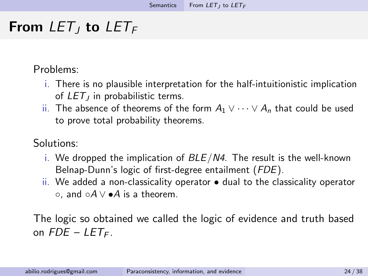## From  $LET_I$  to  $LET_F$

Problems:

- i. There is no plausible interpretation for the half-intuitionistic implication of  $LET_J$  in probabilistic terms.
- ii. The absence of theorems of the form  $A_1 \vee \cdots \vee A_n$  that could be used to prove total probability theorems.

Solutions:

- i. We dropped the implication of  $BLE/N4$ . The result is the well-known Belnap-Dunn's logic of first-degree entailment (FDE).
- ii. We added a non-classicality operator  $\bullet$  dual to the classicality operator  $\circ$ , and  $\circ A \vee \bullet A$  is a theorem.

The logic so obtained we called the logic of evidence and truth based on  $FDE - LETF$ .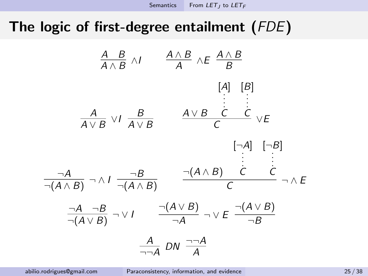# The logic of first-degree entailment (FDE)

A B A ∧ B ∧I A ∧ B A ∧E A ∧ B B A A ∨ B ∨I B A ∨ B A ∨ B [A] . . . . C [B] . . . . C C ∨E ¬A ¬(A ∧ B) ¬ ∧ I ¬B ¬(A ∧ B) ¬(A ∧ B) [¬A] . . . . C [¬B] . . . . C C ¬ ∧ E ¬A ¬B ¬(A ∨ B) ¬ ∨ I ¬(A ∨ B) ¬A ¬ ∨ E ¬(A ∨ B) ¬B A ¬¬A DN ¬¬<sup>A</sup> A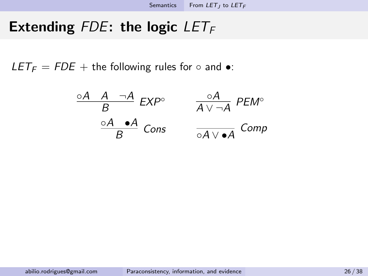$LET_F = FDE +$  the following rules for  $\circ$  and  $\bullet$ :

$$
\frac{\circ A \quad A \quad \neg A}{B} \quad EXP^{\circ} \qquad \frac{\circ A}{A \lor \neg A} \quad PEM^{\circ}
$$
\n
$$
\frac{\circ A \quad \bullet A}{B} \quad Cons \qquad \frac{\circ A}{\circ A \lor \bullet A} \quad Comp
$$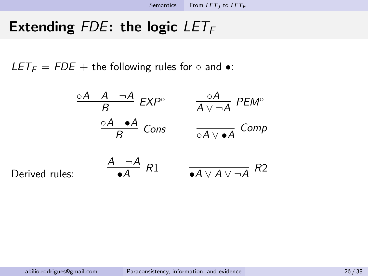$LET_F = FDE +$  the following rules for  $\circ$  and  $\bullet$ :

$$
\frac{\circ A \quad A \quad \neg A}{B} \quad EXP^{\circ} \qquad \frac{\circ A}{A \lor \neg A} \quad PEM^{\circ}
$$
\n
$$
\frac{\circ A \quad \bullet A}{B} \quad Cons \qquad \frac{\circ A}{\circ A \lor \bullet A} \quad Comp
$$
\n
$$
\frac{A \quad \neg A}{\bullet A} \quad R1 \qquad \frac{A \lor \neg A}{\bullet A \lor A \lor \neg A} \quad R2
$$

Derived rule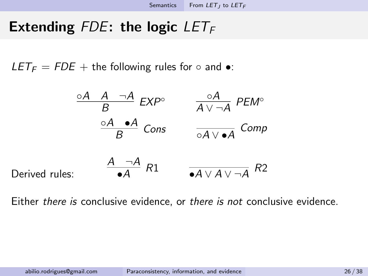$LET_F = FDE +$  the following rules for  $\circ$  and  $\bullet$ :

$$
\frac{\circ A \quad A \quad \neg A}{B} \quad EXP^{\circ} \qquad \frac{\circ A}{A \lor \neg A} \quad PEM^{\circ}
$$
\n
$$
\frac{\circ A \quad \bullet A}{B} \quad Cons \qquad \frac{\circ A}{\circ A \lor \bullet A} \quad Comp
$$
\n
$$
\frac{A \quad \neg A}{\bullet A} \quad R1 \qquad \frac{A \lor \neg A}{\bullet A \lor A \lor \neg A} \quad R2
$$

Either there is conclusive evidence, or there is not conclusive evidence.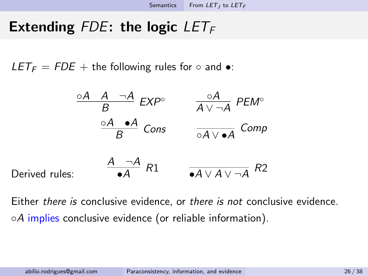LET<sub>F</sub> = FDE + the following rules for  $\circ$  and  $\bullet$ :

$$
\frac{\circ A \quad A \quad \neg A}{B} \quad EXP^{\circ} \qquad \frac{\circ A}{A \lor \neg A} \quad PEM^{\circ}
$$
\n
$$
\frac{\circ A \quad \bullet A}{B} \quad Cons \qquad \frac{\circ A}{\circ A \lor \bullet A} \quad Comp
$$
\n
$$
\frac{A \quad \neg A}{\bullet A} \quad R1 \qquad \frac{A \lor A \lor \neg A}{\bullet A \lor A \lor \neg A} \quad R2
$$

Either there is conclusive evidence, or there is not conclusive evidence. ◦A implies conclusive evidence (or reliable information).

Derived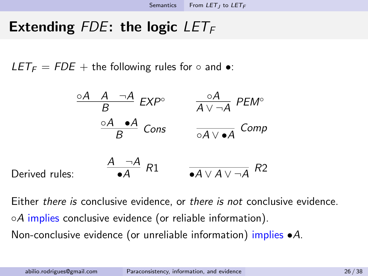$LET_F = FDE +$  the following rules for  $\circ$  and  $\bullet$ :

$$
\frac{\circ A \quad A \quad \neg A}{B} \quad EXP^{\circ} \qquad \frac{\circ A}{A \lor \neg A} \quad PEM^{\circ}
$$
\n
$$
\frac{\circ A \quad \bullet A}{B} \quad Cons \qquad \frac{\circ A \lor \bullet A}{\circ A \lor \bullet A} \quad Comp
$$
\n
$$
\frac{A \quad \neg A}{\bullet A} \quad R1 \qquad \frac{A \lor \neg A}{\bullet A \lor A \lor \neg A} \quad R2
$$

Either there is conclusive evidence, or there is not conclusive evidence.  $\circ A$  implies conclusive evidence (or reliable information). Non-conclusive evidence (or unreliable information) implies  $\bullet A$ .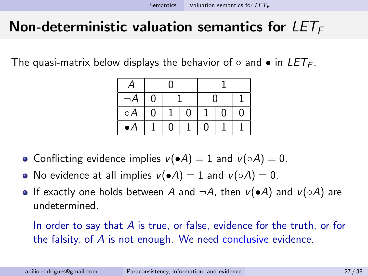## <span id="page-59-0"></span>Non-deterministic valuation semantics for  $LET_F$

The quasi-matrix below displays the behavior of  $\circ$  and  $\bullet$  in  $LET_{F}$ .

|             |   | O |   |   |   |   |  |  |
|-------------|---|---|---|---|---|---|--|--|
|             | 0 |   |   | 0 |   |   |  |  |
| $\circ A$   | 0 |   | Ω |   | 0 | 0 |  |  |
| $\bullet A$ |   | O |   | 0 |   |   |  |  |

- Conflicting evidence implies  $v(\bullet A) = 1$  and  $v(\circ A) = 0$ .
- No evidence at all implies  $v(\bullet A) = 1$  and  $v(\circ A) = 0$ .
- If exactly one holds between A and  $\neg A$ , then  $v(\cdot A)$  and  $v(\circ A)$  are undetermined.

In order to say that A is true, or false, evidence for the truth, or for the falsity, of A is not enough. We need conclusive evidence.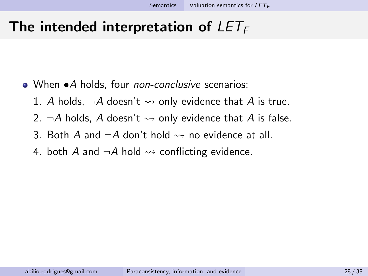### The intended interpretation of  $LET_F$

- When •A holds, four *non-conclusive* scenarios:
	- 1. A holds,  $\neg A$  doesn't  $\rightsquigarrow$  only evidence that A is true.
	- 2.  $\neg A$  holds, A doesn't  $\rightsquigarrow$  only evidence that A is false.
	- 3. Both A and  $\neg A$  don't hold  $\rightsquigarrow$  no evidence at all.
	- 4. both A and  $\neg A$  hold  $\rightsquigarrow$  conflicting evidence.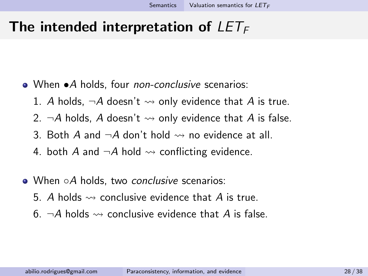### The intended interpretation of  $LET_F$

- When •A holds, four *non-conclusive* scenarios:
	- 1. A holds,  $\neg A$  doesn't  $\rightsquigarrow$  only evidence that A is true.
	- 2.  $\neg A$  holds. A doesn't  $\leadsto$  only evidence that A is false.
	- 3. Both A and  $\neg A$  don't hold  $\rightsquigarrow$  no evidence at all.
	- 4. both A and  $\neg A$  hold  $\rightsquigarrow$  conflicting evidence.
- When ○A holds, two conclusive scenarios:
	- 5. A holds  $\rightsquigarrow$  conclusive evidence that A is true.
	- 6.  $\neg A$  holds  $\rightsquigarrow$  conclusive evidence that A is false.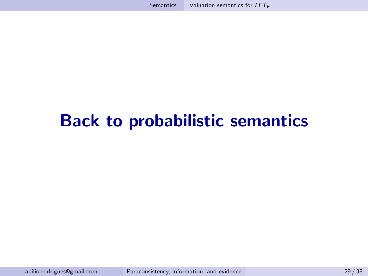# Back to probabilistic semantics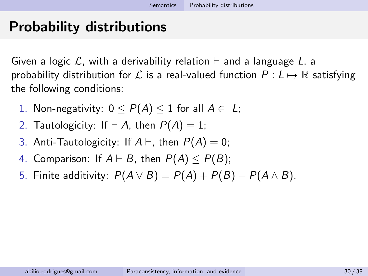## <span id="page-63-0"></span>Probability distributions

Given a logic L, with a derivability relation  $\vdash$  and a language L, a probability distribution for  $\mathcal L$  is a real-valued function  $P: L \mapsto \mathbb R$  satisfying the following conditions:

- 1. Non-negativity:  $0 \leq P(A) \leq 1$  for all  $A \in L$ ;
- 2. Tautologicity: If  $\vdash A$ , then  $P(A) = 1$ ;
- 3. Anti-Tautologicity: If  $A \vdash$ , then  $P(A) = 0$ ;
- 4. Comparison: If  $A \vdash B$ , then  $P(A) < P(B)$ ;
- 5. Finite additivity:  $P(A \vee B) = P(A) + P(B) P(A \wedge B)$ .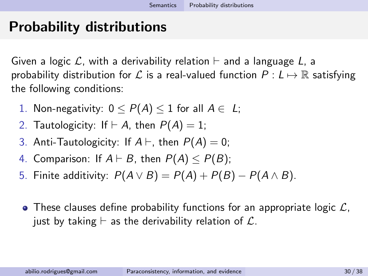## Probability distributions

Given a logic L, with a derivability relation  $\vdash$  and a language L, a probability distribution for  $\mathcal L$  is a real-valued function  $P: L \mapsto \mathbb R$  satisfying the following conditions:

- 1. Non-negativity:  $0 \leq P(A) \leq 1$  for all  $A \in L$ ;
- 2. Tautologicity: If  $\vdash A$ , then  $P(A) = 1$ ;
- 3. Anti-Tautologicity: If  $A \vdash$ , then  $P(A) = 0$ ;
- 4. Comparison: If  $A \vdash B$ , then  $P(A) < P(B)$ ;
- 5. Finite additivity:  $P(A \vee B) = P(A) + P(B) P(A \wedge B)$ .
- $\bullet$  These clauses define probability functions for an appropriate logic  $\mathcal{L}$ , just by taking  $\vdash$  as the derivability relation of  $\mathcal{L}$ .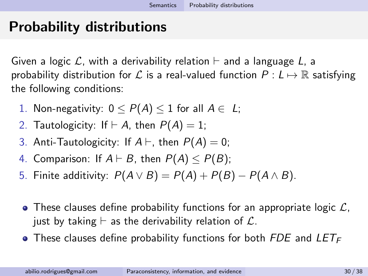## Probability distributions

Given a logic L, with a derivability relation  $\vdash$  and a language L, a probability distribution for L is a real-valued function  $P : L \mapsto \mathbb{R}$  satisfying the following conditions:

- 1. Non-negativity:  $0 \leq P(A) \leq 1$  for all  $A \in L$ ;
- 2. Tautologicity: If  $\vdash A$ , then  $P(A) = 1$ ;
- 3. Anti-Tautologicity: If  $A \vdash$ , then  $P(A) = 0$ ;
- 4. Comparison: If  $A \vdash B$ , then  $P(A) < P(B)$ ;
- 5. Finite additivity:  $P(A \vee B) = P(A) + P(B) P(A \wedge B)$ .
- $\bullet$  These clauses define probability functions for an appropriate logic  $\mathcal{L}$ , just by taking  $\vdash$  as the derivability relation of  $\mathcal{L}$ .
- $\bullet$  These clauses define probability functions for both FDE and LET<sub>F</sub>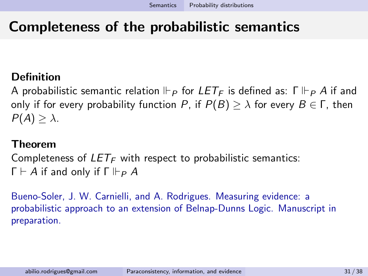### Completeness of the probabilistic semantics

#### Definition

A probabilistic semantic relation  $\Vdash_{\mathsf{P}}$  for  $LET_{\mathsf{F}}$  is defined as:  $\Gamma \Vdash_{\mathsf{P}} A$  if and only if for every probability function P, if  $P(B) > \lambda$  for every  $B \in \Gamma$ , then  $P(A) > \lambda$ .

#### Theorem

Completeness of  $LET_F$  with respect to probabilistic semantics:  $\Gamma \vdash A$  if and only if  $\Gamma \Vdash_{P} A$ 

Bueno-Soler, J. W. Carnielli, and A. Rodrigues. Measuring evidence: a probabilistic approach to an extension of Belnap-Dunns Logic. Manuscript in preparation.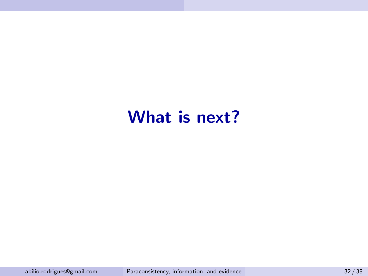# What is next?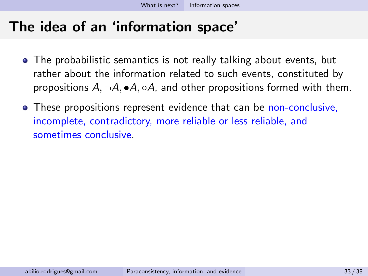- <span id="page-68-0"></span>• The probabilistic semantics is not really talking about events, but rather about the information related to such events, constituted by propositions  $A, \neg A, \bullet A, \circ A$ , and other propositions formed with them.
- These propositions represent evidence that can be non-conclusive, incomplete, contradictory, more reliable or less reliable, and sometimes conclusive.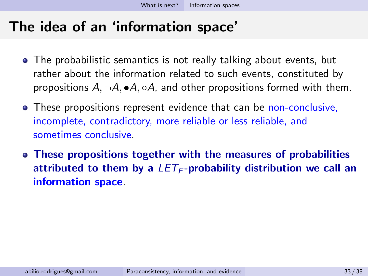- The probabilistic semantics is not really talking about events, but rather about the information related to such events, constituted by propositions  $A, \neg A, \bullet A, \circ A$ , and other propositions formed with them.
- These propositions represent evidence that can be non-conclusive, incomplete, contradictory, more reliable or less reliable, and sometimes conclusive.
- These propositions together with the measures of probabilities attributed to them by a  $LET_F$ -probability distribution we call an information space.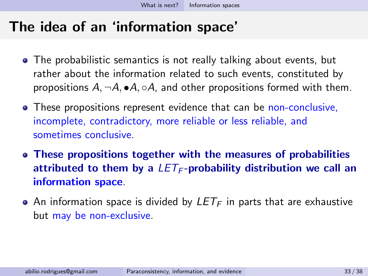- The probabilistic semantics is not really talking about events, but rather about the information related to such events, constituted by propositions  $A, \neg A, \bullet A, \circ A$ , and other propositions formed with them.
- These propositions represent evidence that can be non-conclusive, incomplete, contradictory, more reliable or less reliable, and sometimes conclusive.
- These propositions together with the measures of probabilities attributed to them by a  $LET_F$ -probability distribution we call an information space.
- An information space is divided by  $LET_F$  in parts that are exhaustive but may be non-exclusive.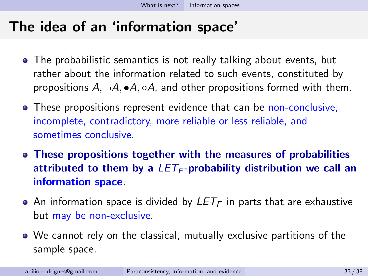- The probabilistic semantics is not really talking about events, but rather about the information related to such events, constituted by propositions  $A, \neg A, \bullet A, \circ A$ , and other propositions formed with them.
- These propositions represent evidence that can be non-conclusive, incomplete, contradictory, more reliable or less reliable, and sometimes conclusive.
- These propositions together with the measures of probabilities attributed to them by a  $LET_F$ -probability distribution we call an information space.
- An information space is divided by  $LET_F$  in parts that are exhaustive but may be non-exclusive.
- We cannot rely on the classical, mutually exclusive partitions of the sample space.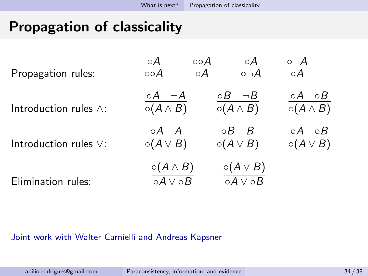# <span id="page-72-0"></span>Propagation of classicality

| Propagation rules:            | $\frac{\circ A}{\circ \circ A}$<br>$\frac{\circ \circ A}{\circ A}$ | $\frac{\circ A}{\circ \neg A}$                          | $\circ \neg A$<br>$\circ A$                    |
|-------------------------------|--------------------------------------------------------------------|---------------------------------------------------------|------------------------------------------------|
| Introduction rules $\wedge$ : | $\circ A$ $\neg A$<br>$\circ (A \wedge B)$                         | $\circ B$ $\neg B$<br>$\circ (A \wedge B)$              | $\circ A$<br>$\circ B$<br>$\circ (A \wedge B)$ |
| Introduction rules $\vee$ :   | $\circ A$ $A$<br>$\circ (A \vee B)$                                | $\circ B$ $B$<br>$\circ (A \vee B)$                     | $\circ A$<br>$\circ B$<br>$\circ (A \vee B)$   |
| Elimination rules:            | $\circ (A \wedge B)$<br>$\overline{\circ A \vee \circ B}$          | $\circ (A \vee B)$<br>$\overline{\circ A \vee \circ B}$ |                                                |

#### Joint work with Walter Carnielli and Andreas Kapsner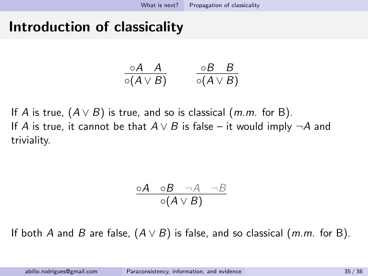## Introduction of classicality

$$
\frac{\circ A \quad A}{\circ (A \vee B)} \qquad \frac{\circ B \quad B}{\circ (A \vee B)}
$$

If A is true,  $(A \vee B)$  is true, and so is classical  $(m.m.$  for B). If A is true, it cannot be that  $A \vee B$  is false – it would imply  $\neg A$  and triviality.

$$
\frac{\circ A \quad \circ B \quad \neg A \quad \neg B}{\circ (A \lor B)}
$$

If both A and B are false,  $(A \vee B)$  is false, and so classical (m.m. for B).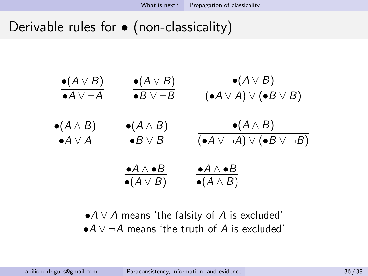Derivable rules for  $\bullet$  (non-classicality)



 $\bullet A \vee A$  means 'the falsity of A is excluded'  $\bullet$ A  $\vee$   $\neg$ A means 'the truth of A is excluded'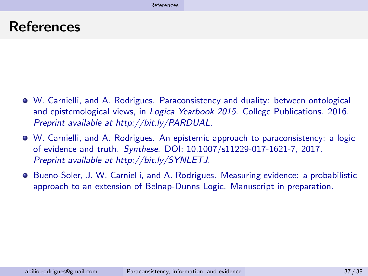### <span id="page-75-0"></span>References

- W. Carnielli, and A. Rodrigues. Paraconsistency and duality: between ontological and epistemological views, in Logica Yearbook 2015. College Publications. 2016. Preprint available at http://bit.ly/PARDUAL.
- W. Carnielli, and A. Rodrigues. An epistemic approach to paraconsistency: a logic of evidence and truth. Synthese. DOI: 10.1007/s11229-017-1621-7, 2017. Preprint available at http://bit.ly/SYNLETJ.
- **Bueno-Soler, J. W. Carnielli, and A. Rodrigues. Measuring evidence: a probabilistic** approach to an extension of Belnap-Dunns Logic. Manuscript in preparation.